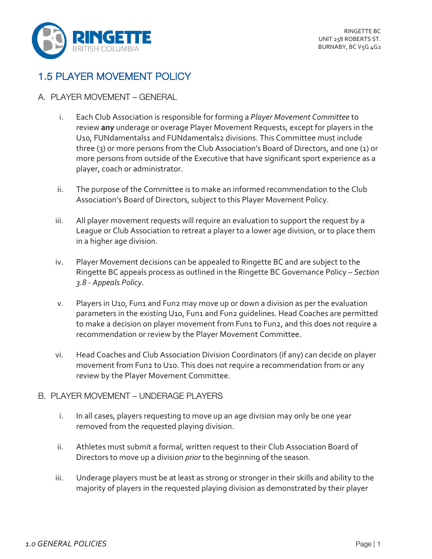

## 1.5 PLAYER MOVEMENT POLICY

## A. PLAYER MOVEMENT – GENERAL

- i. Each Club Association is responsible for forming a *Player Movement Committee* to review **any** underage or overage Player Movement Requests, except for players in the U10, FUNdamentals1 and FUNdamentals2 divisions. This Committee must include three (3) or more persons from the Club Association's Board of Directors, and one (1) or more persons from outside of the Executive that have significant sport experience as a player, coach or administrator.
- ii. The purpose of the Committee is to make an informed recommendation to the Club Association's Board of Directors, subject to this Player Movement Policy.
- iii. All player movement requests will require an evaluation to support the request by a League or Club Association to retreat a player to a lower age division, or to place them in a higher age division.
- iv. Player Movement decisions can be appealed to Ringette BC and are subject to the Ringette BC appeals process as outlined in the Ringette BC Governance Policy – *Section 3.8 - Appeals Policy*.
- v. Players in U10, Fun1 and Fun2 may move up or down a division as per the evaluation parameters in the existing U10, Fun1 and Fun2 guidelines. Head Coaches are permitted to make a decision on player movement from Fun1 to Fun2, and this does not require a recommendation or review by the Player Movement Committee.
- vi. Head Coaches and Club Association Division Coordinators (if any) can decide on player movement from Fun2 to U10. This does not require a recommendation from or any review by the Player Movement Committee.

## B. PLAYER MOVEMENT – UNDERAGE PLAYERS

- i. In all cases, players requesting to move up an age division may only be one year removed from the requested playing division.
- ii. Athletes must submit a formal, written request to their Club Association Board of Directors to move up a division *prior* to the beginning of the season.
- iii. Underage players must be at least as strong or stronger in their skills and ability to the majority of players in the requested playing division as demonstrated by their player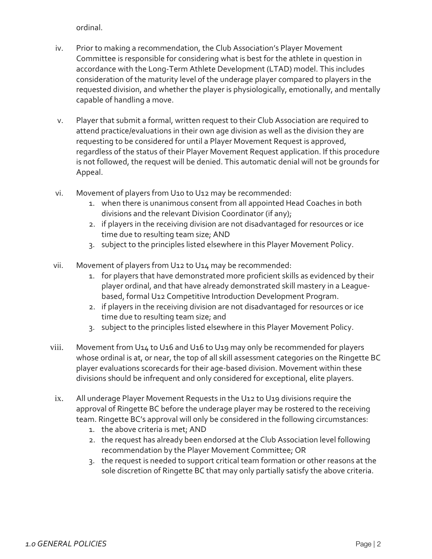ordinal.

- iv. Prior to making a recommendation, the Club Association's Player Movement Committee is responsible for considering what is best for the athlete in question in accordance with the Long-Term Athlete Development (LTAD) model. This includes consideration of the maturity level of the underage player compared to players in the requested division, and whether the player is physiologically, emotionally, and mentally capable of handling a move.
- v. Player that submit a formal, written request to their Club Association are required to attend practice/evaluations in their own age division as well as the division they are requesting to be considered for until a Player Movement Request is approved, regardless of the status of their Player Movement Request application. If this procedure is not followed, the request will be denied. This automatic denial will not be grounds for Appeal.
- vi. Movement of players from U10 to U12 may be recommended:
	- 1. when there is unanimous consent from all appointed Head Coaches in both divisions and the relevant Division Coordinator (if any);
	- 2. if players in the receiving division are not disadvantaged for resources or ice time due to resulting team size; AND
	- 3. subject to the principles listed elsewhere in this Player Movement Policy.
- vii. Movement of players from U12 to U14 may be recommended:
	- 1. for players that have demonstrated more proficient skills as evidenced by their player ordinal, and that have already demonstrated skill mastery in a Leaguebased, formal U12 Competitive Introduction Development Program.
	- 2. if players in the receiving division are not disadvantaged for resources or ice time due to resulting team size; and
	- 3. subject to the principles listed elsewhere in this Player Movement Policy.
- viii. Movement from U14 to U16 and U16 to U19 may only be recommended for players whose ordinal is at, or near, the top of all skill assessment categories on the Ringette BC player evaluations scorecards for their age-based division. Movement within these divisions should be infrequent and only considered for exceptional, elite players.
- ix. All underage Player Movement Requests in the U12 to U19 divisions require the approval of Ringette BC before the underage player may be rostered to the receiving team. Ringette BC's approval will only be considered in the following circumstances:
	- 1. the above criteria is met; AND
	- 2. the request has already been endorsed at the Club Association level following recommendation by the Player Movement Committee; OR
	- 3. the request is needed to support critical team formation or other reasons at the sole discretion of Ringette BC that may only partially satisfy the above criteria.